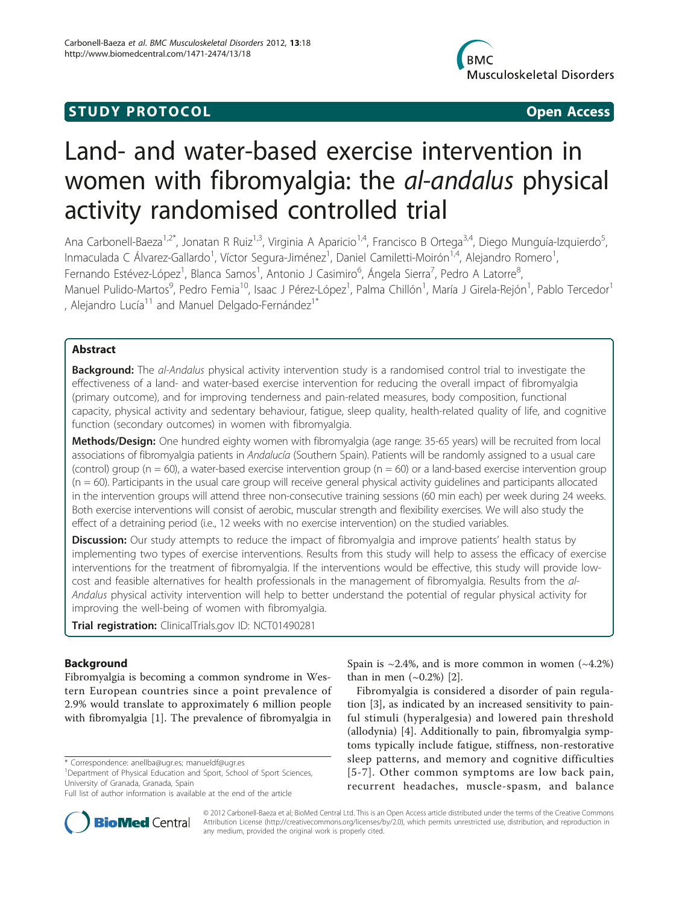# **STUDY PROTOCOL** And the state of the state of the state of the state of the state of the state of the state of the state of the state of the state of the state of the state of the state of the state of the state of the st



# Land- and water-based exercise intervention in women with fibromyalgia: the al-andalus physical activity randomised controlled trial

Ana Carbonell-Baeza<sup>1,2\*</sup>, Jonatan R Ruiz<sup>1,3</sup>, Virginia A Aparicio<sup>1,4</sup>, Francisco B Ortega<sup>3,4</sup>, Diego Munguía-Izquierdo<sup>5</sup>, , Inmaculada C Álvarez-Gallardo<sup>1</sup>, Víctor Segura-Jiménez<sup>1</sup>, Daniel Camiletti-Moirón<sup>1,4</sup>, Alejandro Romero<sup>1</sup> , Fernando Estévez-López<sup>1</sup>, Blanca Samos<sup>1</sup>, Antonio J Casimiro<sup>6</sup>, Ángela Sierra<sup>7</sup>, Pedro A Latorre<sup>8</sup> , Manuel Pulido-Martos<sup>9</sup>, Pedro Femia<sup>10</sup>, Isaac J Pérez-López<sup>1</sup>, Palma Chillón<sup>1</sup>, María J Girela-Rejón<sup>1</sup>, Pablo Tercedor<sup>1</sup> , Alejandro Lucía<sup>11</sup> and Manuel Delgado-Fernández<sup>1\*</sup>

# Abstract

**Background:** The al-Andalus physical activity intervention study is a randomised control trial to investigate the effectiveness of a land- and water-based exercise intervention for reducing the overall impact of fibromyalgia (primary outcome), and for improving tenderness and pain-related measures, body composition, functional capacity, physical activity and sedentary behaviour, fatigue, sleep quality, health-related quality of life, and cognitive function (secondary outcomes) in women with fibromyalgia.

Methods/Design: One hundred eighty women with fibromyalgia (age range: 35-65 years) will be recruited from local associations of fibromyalgia patients in Andalucía (Southern Spain). Patients will be randomly assigned to a usual care (control) group ( $n = 60$ ), a water-based exercise intervention group ( $n = 60$ ) or a land-based exercise intervention group  $(n = 60)$ . Participants in the usual care group will receive general physical activity guidelines and participants allocated in the intervention groups will attend three non-consecutive training sessions (60 min each) per week during 24 weeks. Both exercise interventions will consist of aerobic, muscular strength and flexibility exercises. We will also study the effect of a detraining period (i.e., 12 weeks with no exercise intervention) on the studied variables.

**Discussion:** Our study attempts to reduce the impact of fibromyalgia and improve patients' health status by implementing two types of exercise interventions. Results from this study will help to assess the efficacy of exercise interventions for the treatment of fibromyalgia. If the interventions would be effective, this study will provide lowcost and feasible alternatives for health professionals in the management of fibromyalgia. Results from the al-Andalus physical activity intervention will help to better understand the potential of regular physical activity for improving the well-being of women with fibromyalgia.

Trial registration: ClinicalTrials.gov ID: [NCT01490281](http://www.clinicaltrials.gov/ct2/show/NCT01490281)

# Background

Fibromyalgia is becoming a common syndrome in Western European countries since a point prevalence of 2.9% would translate to approximately 6 million people with fibromyalgia [[1\]](#page-8-0). The prevalence of fibromyalgia in

\* Correspondence: [anellba@ugr.es;](mailto:anellba@ugr.es) [manueldf@ugr.es](mailto:manueldf@ugr.es)

<sup>1</sup>Department of Physical Education and Sport, School of Sport Sciences, University of Granada, Granada, Spain



Fibromyalgia is considered a disorder of pain regulation [[3\]](#page-8-0), as indicated by an increased sensitivity to painful stimuli (hyperalgesia) and lowered pain threshold (allodynia) [[4](#page-8-0)]. Additionally to pain, fibromyalgia symptoms typically include fatigue, stiffness, non-restorative sleep patterns, and memory and cognitive difficulties [[5-7](#page-8-0)]. Other common symptoms are low back pain, recurrent headaches, muscle-spasm, and balance



© 2012 Carbonell-Baeza et al; BioMed Central Ltd. This is an Open Access article distributed under the terms of the Creative Commons Attribution License [\(http://creativecommons.org/licenses/by/2.0](http://creativecommons.org/licenses/by/2.0)), which permits unrestricted use, distribution, and reproduction in any medium, provided the original work is properly cited.

Full list of author information is available at the end of the article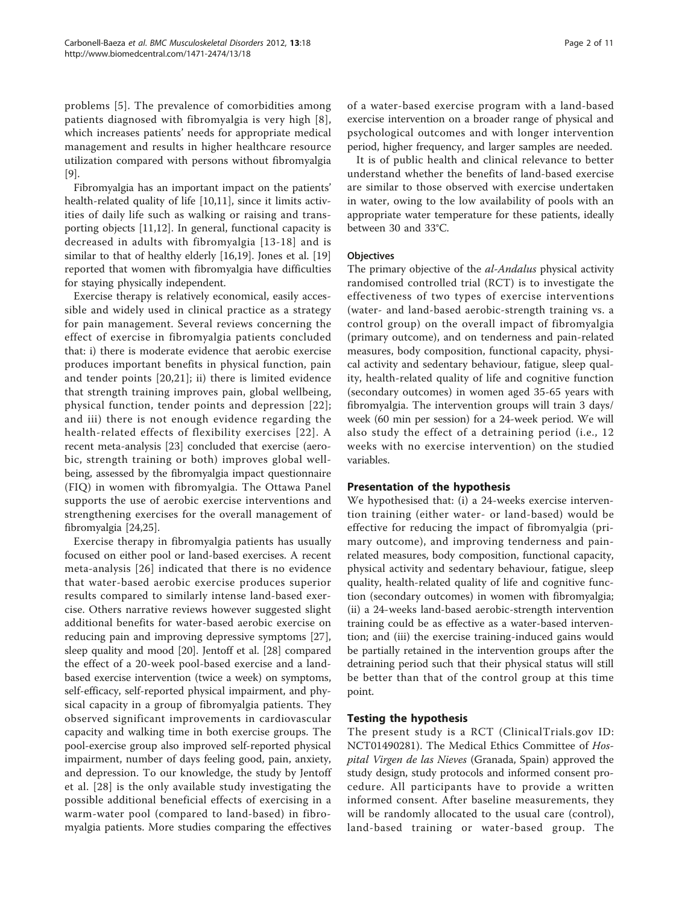problems [\[5\]](#page-8-0). The prevalence of comorbidities among patients diagnosed with fibromyalgia is very high [[8\]](#page-8-0), which increases patients' needs for appropriate medical management and results in higher healthcare resource utilization compared with persons without fibromyalgia [[9\]](#page-8-0).

Fibromyalgia has an important impact on the patients' health-related quality of life [\[10,](#page-8-0)[11\]](#page-9-0), since it limits activities of daily life such as walking or raising and transporting objects [\[11,12\]](#page-9-0). In general, functional capacity is decreased in adults with fibromyalgia [[13](#page-9-0)-[18\]](#page-9-0) and is similar to that of healthy elderly [[16,19\]](#page-9-0). Jones et al. [[19](#page-9-0)] reported that women with fibromyalgia have difficulties for staying physically independent.

Exercise therapy is relatively economical, easily accessible and widely used in clinical practice as a strategy for pain management. Several reviews concerning the effect of exercise in fibromyalgia patients concluded that: i) there is moderate evidence that aerobic exercise produces important benefits in physical function, pain and tender points [[20](#page-9-0),[21\]](#page-9-0); ii) there is limited evidence that strength training improves pain, global wellbeing, physical function, tender points and depression [\[22\]](#page-9-0); and iii) there is not enough evidence regarding the health-related effects of flexibility exercises [[22\]](#page-9-0). A recent meta-analysis [[23\]](#page-9-0) concluded that exercise (aerobic, strength training or both) improves global wellbeing, assessed by the fibromyalgia impact questionnaire (FIQ) in women with fibromyalgia. The Ottawa Panel supports the use of aerobic exercise interventions and strengthening exercises for the overall management of fibromyalgia [\[24,25\]](#page-9-0).

Exercise therapy in fibromyalgia patients has usually focused on either pool or land-based exercises. A recent meta-analysis [[26](#page-9-0)] indicated that there is no evidence that water-based aerobic exercise produces superior results compared to similarly intense land-based exercise. Others narrative reviews however suggested slight additional benefits for water-based aerobic exercise on reducing pain and improving depressive symptoms [\[27](#page-9-0)], sleep quality and mood [\[20\]](#page-9-0). Jentoff et al. [[28\]](#page-9-0) compared the effect of a 20-week pool-based exercise and a landbased exercise intervention (twice a week) on symptoms, self-efficacy, self-reported physical impairment, and physical capacity in a group of fibromyalgia patients. They observed significant improvements in cardiovascular capacity and walking time in both exercise groups. The pool-exercise group also improved self-reported physical impairment, number of days feeling good, pain, anxiety, and depression. To our knowledge, the study by Jentoff et al. [[28](#page-9-0)] is the only available study investigating the possible additional beneficial effects of exercising in a warm-water pool (compared to land-based) in fibromyalgia patients. More studies comparing the effectives of a water-based exercise program with a land-based exercise intervention on a broader range of physical and psychological outcomes and with longer intervention period, higher frequency, and larger samples are needed.

It is of public health and clinical relevance to better understand whether the benefits of land-based exercise are similar to those observed with exercise undertaken in water, owing to the low availability of pools with an appropriate water temperature for these patients, ideally between 30 and 33°C.

# **Objectives**

The primary objective of the *al-Andalus* physical activity randomised controlled trial (RCT) is to investigate the effectiveness of two types of exercise interventions (water- and land-based aerobic-strength training vs. a control group) on the overall impact of fibromyalgia (primary outcome), and on tenderness and pain-related measures, body composition, functional capacity, physical activity and sedentary behaviour, fatigue, sleep quality, health-related quality of life and cognitive function (secondary outcomes) in women aged 35-65 years with fibromyalgia. The intervention groups will train 3 days/ week (60 min per session) for a 24-week period. We will also study the effect of a detraining period (i.e., 12 weeks with no exercise intervention) on the studied variables.

# Presentation of the hypothesis

We hypothesised that: (i) a 24-weeks exercise intervention training (either water- or land-based) would be effective for reducing the impact of fibromyalgia (primary outcome), and improving tenderness and painrelated measures, body composition, functional capacity, physical activity and sedentary behaviour, fatigue, sleep quality, health-related quality of life and cognitive function (secondary outcomes) in women with fibromyalgia; (ii) a 24-weeks land-based aerobic-strength intervention training could be as effective as a water-based intervention; and (iii) the exercise training-induced gains would be partially retained in the intervention groups after the detraining period such that their physical status will still be better than that of the control group at this time point.

# Testing the hypothesis

The present study is a RCT (ClinicalTrials.gov ID: NCT01490281). The Medical Ethics Committee of Hospital Virgen de las Nieves (Granada, Spain) approved the study design, study protocols and informed consent procedure. All participants have to provide a written informed consent. After baseline measurements, they will be randomly allocated to the usual care (control), land-based training or water-based group. The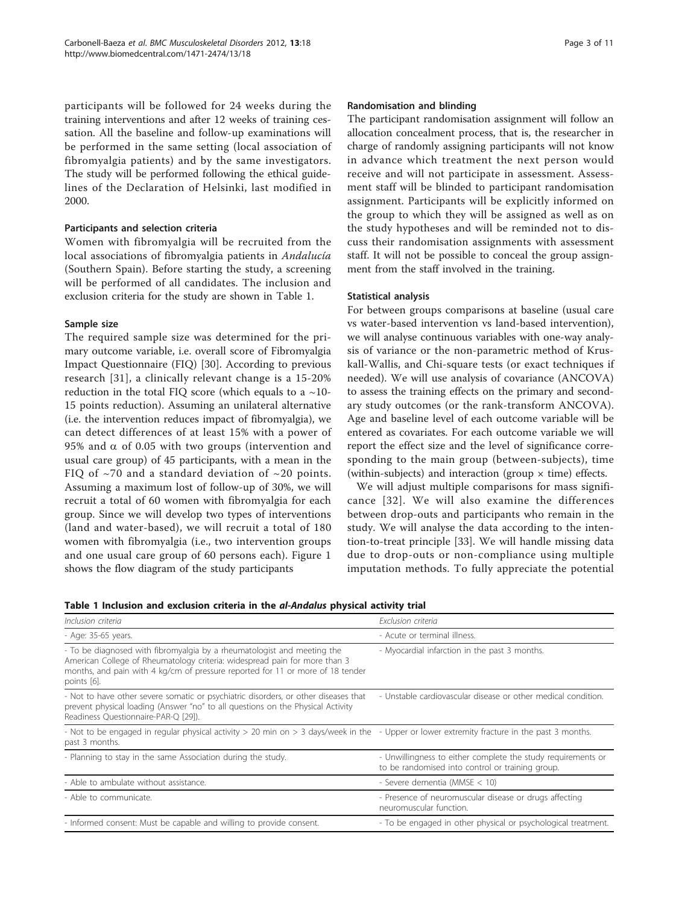participants will be followed for 24 weeks during the training interventions and after 12 weeks of training cessation. All the baseline and follow-up examinations will be performed in the same setting (local association of fibromyalgia patients) and by the same investigators. The study will be performed following the ethical guidelines of the Declaration of Helsinki, last modified in 2000.

# Participants and selection criteria

Women with fibromyalgia will be recruited from the local associations of fibromyalgia patients in Andalucía (Southern Spain). Before starting the study, a screening will be performed of all candidates. The inclusion and exclusion criteria for the study are shown in Table 1.

# Sample size

The required sample size was determined for the primary outcome variable, i.e. overall score of Fibromyalgia Impact Questionnaire (FIQ) [\[30](#page-9-0)]. According to previous research [[31\]](#page-9-0), a clinically relevant change is a 15-20% reduction in the total FIQ score (which equals to a  $\sim$ 10-15 points reduction). Assuming an unilateral alternative (i.e. the intervention reduces impact of fibromyalgia), we can detect differences of at least 15% with a power of 95% and  $\alpha$  of 0.05 with two groups (intervention and usual care group) of 45 participants, with a mean in the FIQ of  $\sim$ 70 and a standard deviation of  $\sim$ 20 points. Assuming a maximum lost of follow-up of 30%, we will recruit a total of 60 women with fibromyalgia for each group. Since we will develop two types of interventions (land and water-based), we will recruit a total of 180 women with fibromyalgia (i.e., two intervention groups and one usual care group of 60 persons each). Figure [1](#page-3-0) shows the flow diagram of the study participants

# Randomisation and blinding

The participant randomisation assignment will follow an allocation concealment process, that is, the researcher in charge of randomly assigning participants will not know in advance which treatment the next person would receive and will not participate in assessment. Assessment staff will be blinded to participant randomisation assignment. Participants will be explicitly informed on the group to which they will be assigned as well as on the study hypotheses and will be reminded not to discuss their randomisation assignments with assessment staff. It will not be possible to conceal the group assignment from the staff involved in the training.

# Statistical analysis

For between groups comparisons at baseline (usual care vs water-based intervention vs land-based intervention), we will analyse continuous variables with one-way analysis of variance or the non-parametric method of Kruskall-Wallis, and Chi-square tests (or exact techniques if needed). We will use analysis of covariance (ANCOVA) to assess the training effects on the primary and secondary study outcomes (or the rank-transform ANCOVA). Age and baseline level of each outcome variable will be entered as covariates. For each outcome variable we will report the effect size and the level of significance corresponding to the main group (between-subjects), time (within-subjects) and interaction (group  $\times$  time) effects.

We will adjust multiple comparisons for mass significance [[32\]](#page-9-0). We will also examine the differences between drop-outs and participants who remain in the study. We will analyse the data according to the intention-to-treat principle [[33\]](#page-9-0). We will handle missing data due to drop-outs or non-compliance using multiple imputation methods. To fully appreciate the potential

Table 1 Inclusion and exclusion criteria in the al-Andalus physical activity trial

| Inclusion criteria                                                                                                                                                                                                                                     | Exclusion criteria                                                                                               |  |  |
|--------------------------------------------------------------------------------------------------------------------------------------------------------------------------------------------------------------------------------------------------------|------------------------------------------------------------------------------------------------------------------|--|--|
| - Age: 35-65 years.                                                                                                                                                                                                                                    | - Acute or terminal illness.                                                                                     |  |  |
| - To be diagnosed with fibromyalgia by a rheumatologist and meeting the<br>American College of Rheumatology criteria: widespread pain for more than 3<br>months, and pain with 4 kg/cm of pressure reported for 11 or more of 18 tender<br>points [6]. | - Myocardial infarction in the past 3 months.                                                                    |  |  |
| - Not to have other severe somatic or psychiatric disorders, or other diseases that<br>prevent physical loading (Answer "no" to all questions on the Physical Activity<br>Readiness Questionnaire-PAR-Q [29]).                                         | - Unstable cardiovascular disease or other medical condition.                                                    |  |  |
| - Not to be engaged in regular physical activity > 20 min on > 3 days/week in the - Upper or lower extremity fracture in the past 3 months.<br>past 3 months.                                                                                          |                                                                                                                  |  |  |
| - Planning to stay in the same Association during the study.                                                                                                                                                                                           | - Unwillingness to either complete the study requirements or<br>to be randomised into control or training group. |  |  |
| - Able to ambulate without assistance.                                                                                                                                                                                                                 | - Severe dementia (MMSE $<$ 10)                                                                                  |  |  |
| - Able to communicate.                                                                                                                                                                                                                                 | - Presence of neuromuscular disease or drugs affecting<br>neuromuscular function.                                |  |  |
| - Informed consent: Must be capable and willing to provide consent.                                                                                                                                                                                    | - To be engaged in other physical or psychological treatment.                                                    |  |  |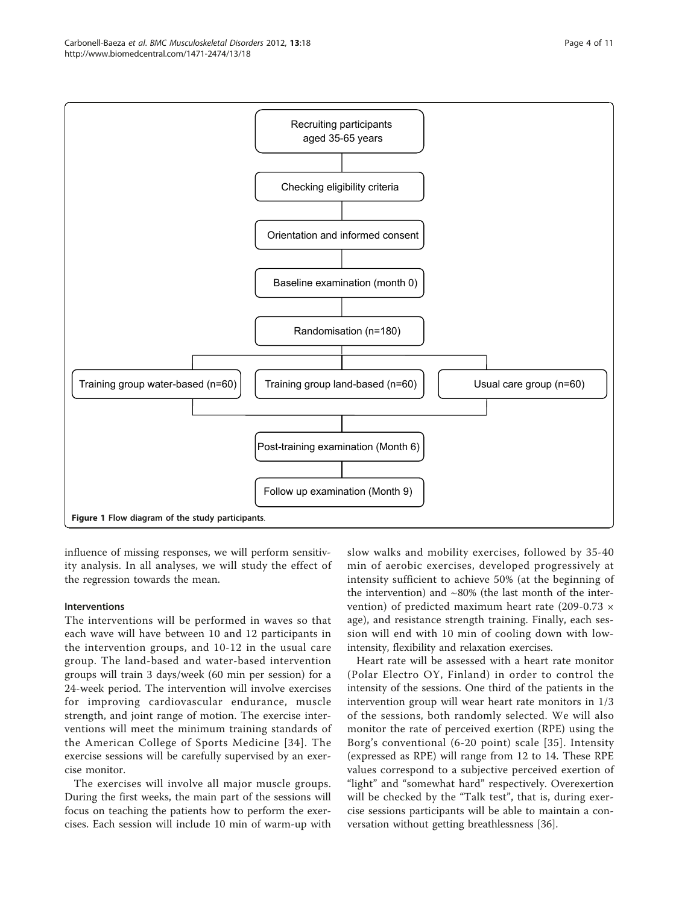<span id="page-3-0"></span>

influence of missing responses, we will perform sensitivity analysis. In all analyses, we will study the effect of the regression towards the mean.

# Interventions

The interventions will be performed in waves so that each wave will have between 10 and 12 participants in the intervention groups, and 10-12 in the usual care group. The land-based and water-based intervention groups will train 3 days/week (60 min per session) for a 24-week period. The intervention will involve exercises for improving cardiovascular endurance, muscle strength, and joint range of motion. The exercise interventions will meet the minimum training standards of the American College of Sports Medicine [[34\]](#page-9-0). The exercise sessions will be carefully supervised by an exercise monitor.

The exercises will involve all major muscle groups. During the first weeks, the main part of the sessions will focus on teaching the patients how to perform the exercises. Each session will include 10 min of warm-up with

slow walks and mobility exercises, followed by 35-40 min of aerobic exercises, developed progressively at intensity sufficient to achieve 50% (at the beginning of the intervention) and  $\sim80\%$  (the last month of the intervention) of predicted maximum heart rate (209-0.73  $\times$ age), and resistance strength training. Finally, each session will end with 10 min of cooling down with lowintensity, flexibility and relaxation exercises.

Heart rate will be assessed with a heart rate monitor (Polar Electro OY, Finland) in order to control the intensity of the sessions. One third of the patients in the intervention group will wear heart rate monitors in 1/3 of the sessions, both randomly selected. We will also monitor the rate of perceived exertion (RPE) using the Borg's conventional (6-20 point) scale [\[35\]](#page-9-0). Intensity (expressed as RPE) will range from 12 to 14. These RPE values correspond to a subjective perceived exertion of "light" and "somewhat hard" respectively. Overexertion will be checked by the "Talk test", that is, during exercise sessions participants will be able to maintain a conversation without getting breathlessness [[36](#page-9-0)].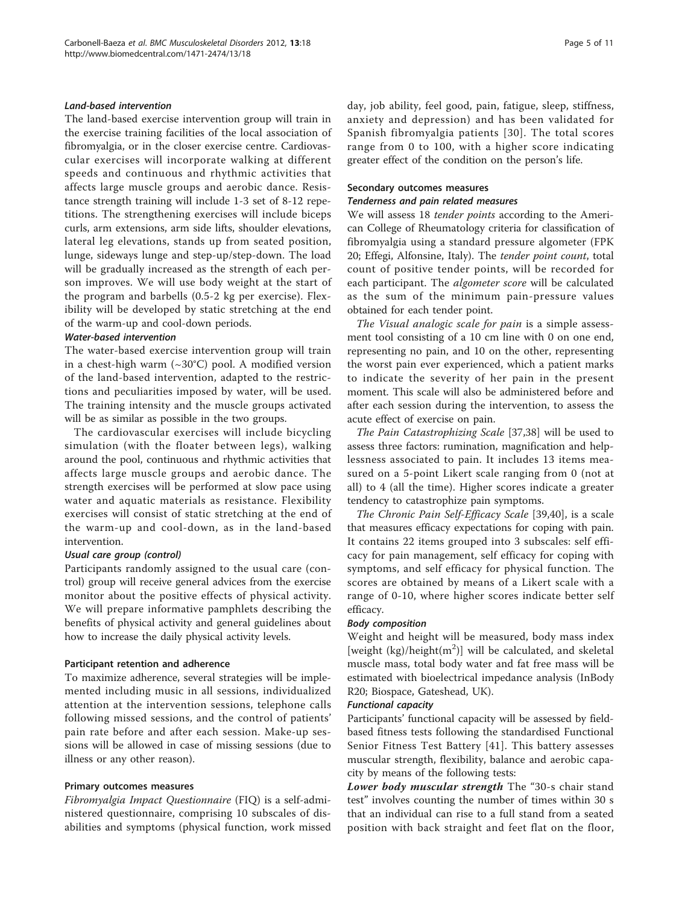# Land-based intervention

The land-based exercise intervention group will train in the exercise training facilities of the local association of fibromyalgia, or in the closer exercise centre. Cardiovascular exercises will incorporate walking at different speeds and continuous and rhythmic activities that affects large muscle groups and aerobic dance. Resistance strength training will include 1-3 set of 8-12 repetitions. The strengthening exercises will include biceps curls, arm extensions, arm side lifts, shoulder elevations, lateral leg elevations, stands up from seated position, lunge, sideways lunge and step-up/step-down. The load will be gradually increased as the strength of each person improves. We will use body weight at the start of the program and barbells (0.5-2 kg per exercise). Flexibility will be developed by static stretching at the end of the warm-up and cool-down periods.

# Water-based intervention

The water-based exercise intervention group will train in a chest-high warm (~30°C) pool. A modified version of the land-based intervention, adapted to the restrictions and peculiarities imposed by water, will be used. The training intensity and the muscle groups activated will be as similar as possible in the two groups.

The cardiovascular exercises will include bicycling simulation (with the floater between legs), walking around the pool, continuous and rhythmic activities that affects large muscle groups and aerobic dance. The strength exercises will be performed at slow pace using water and aquatic materials as resistance. Flexibility exercises will consist of static stretching at the end of the warm-up and cool-down, as in the land-based intervention.

# Usual care group (control)

Participants randomly assigned to the usual care (control) group will receive general advices from the exercise monitor about the positive effects of physical activity. We will prepare informative pamphlets describing the benefits of physical activity and general guidelines about how to increase the daily physical activity levels.

# Participant retention and adherence

To maximize adherence, several strategies will be implemented including music in all sessions, individualized attention at the intervention sessions, telephone calls following missed sessions, and the control of patients' pain rate before and after each session. Make-up sessions will be allowed in case of missing sessions (due to illness or any other reason).

# Primary outcomes measures

Fibromyalgia Impact Questionnaire (FIQ) is a self-administered questionnaire, comprising 10 subscales of disabilities and symptoms (physical function, work missed day, job ability, feel good, pain, fatigue, sleep, stiffness, anxiety and depression) and has been validated for Spanish fibromyalgia patients [[30\]](#page-9-0). The total scores range from 0 to 100, with a higher score indicating greater effect of the condition on the person's life.

# Secondary outcomes measures

#### Tenderness and pain related measures

We will assess 18 tender points according to the American College of Rheumatology criteria for classification of fibromyalgia using a standard pressure algometer (FPK 20; Effegi, Alfonsine, Italy). The tender point count, total count of positive tender points, will be recorded for each participant. The *algometer score* will be calculated as the sum of the minimum pain-pressure values obtained for each tender point.

The Visual analogic scale for pain is a simple assessment tool consisting of a 10 cm line with 0 on one end, representing no pain, and 10 on the other, representing the worst pain ever experienced, which a patient marks to indicate the severity of her pain in the present moment. This scale will also be administered before and after each session during the intervention, to assess the acute effect of exercise on pain.

The Pain Catastrophizing Scale [\[37,38\]](#page-9-0) will be used to assess three factors: rumination, magnification and helplessness associated to pain. It includes 13 items measured on a 5-point Likert scale ranging from 0 (not at all) to 4 (all the time). Higher scores indicate a greater tendency to catastrophize pain symptoms.

The Chronic Pain Self-Efficacy Scale [\[39,40](#page-9-0)], is a scale that measures efficacy expectations for coping with pain. It contains 22 items grouped into 3 subscales: self efficacy for pain management, self efficacy for coping with symptoms, and self efficacy for physical function. The scores are obtained by means of a Likert scale with a range of 0-10, where higher scores indicate better self efficacy.

# Body composition

Weight and height will be measured, body mass index [weight (kg)/height(m<sup>2</sup>)] will be calculated, and skeletal muscle mass, total body water and fat free mass will be estimated with bioelectrical impedance analysis (InBody R20; Biospace, Gateshead, UK).

# Functional capacity

Participants' functional capacity will be assessed by fieldbased fitness tests following the standardised Functional Senior Fitness Test Battery [[41](#page-9-0)]. This battery assesses muscular strength, flexibility, balance and aerobic capacity by means of the following tests:

Lower body muscular strength The "30-s chair stand test" involves counting the number of times within 30 s that an individual can rise to a full stand from a seated position with back straight and feet flat on the floor,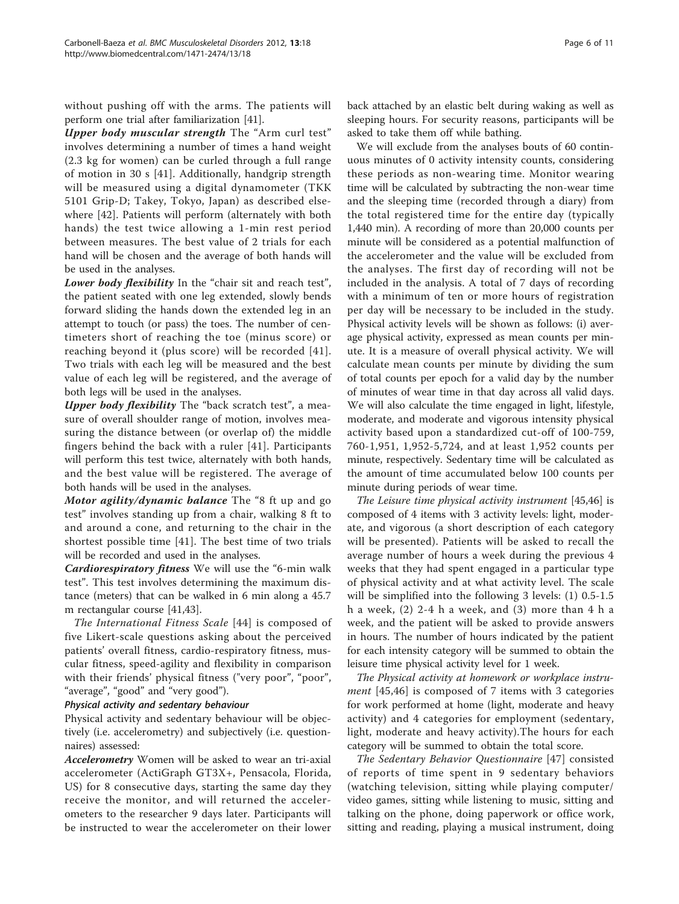without pushing off with the arms. The patients will perform one trial after familiarization [[41\]](#page-9-0).

Upper body muscular strength The "Arm curl test" involves determining a number of times a hand weight (2.3 kg for women) can be curled through a full range of motion in 30 s [\[41](#page-9-0)]. Additionally, handgrip strength will be measured using a digital dynamometer (TKK 5101 Grip-D; Takey, Tokyo, Japan) as described elsewhere [\[42](#page-9-0)]. Patients will perform (alternately with both hands) the test twice allowing a 1-min rest period between measures. The best value of 2 trials for each hand will be chosen and the average of both hands will be used in the analyses.

Lower body flexibility In the "chair sit and reach test", the patient seated with one leg extended, slowly bends forward sliding the hands down the extended leg in an attempt to touch (or pass) the toes. The number of centimeters short of reaching the toe (minus score) or reaching beyond it (plus score) will be recorded [[41\]](#page-9-0). Two trials with each leg will be measured and the best value of each leg will be registered, and the average of both legs will be used in the analyses.

*Upper body flexibility* The "back scratch test", a measure of overall shoulder range of motion, involves measuring the distance between (or overlap of) the middle fingers behind the back with a ruler [\[41\]](#page-9-0). Participants will perform this test twice, alternately with both hands, and the best value will be registered. The average of both hands will be used in the analyses.

Motor agility/dynamic balance The "8 ft up and go test" involves standing up from a chair, walking 8 ft to and around a cone, and returning to the chair in the shortest possible time [[41\]](#page-9-0). The best time of two trials will be recorded and used in the analyses.

Cardiorespiratory fitness We will use the "6-min walk" test". This test involves determining the maximum distance (meters) that can be walked in 6 min along a 45.7 m rectangular course [\[41,43\]](#page-9-0).

The International Fitness Scale [\[44\]](#page-9-0) is composed of five Likert-scale questions asking about the perceived patients' overall fitness, cardio-respiratory fitness, muscular fitness, speed-agility and flexibility in comparison with their friends' physical fitness ("very poor", "poor", "average", "good" and "very good").

# Physical activity and sedentary behaviour

Physical activity and sedentary behaviour will be objectively (i.e. accelerometry) and subjectively (i.e. questionnaires) assessed:

Accelerometry Women will be asked to wear an tri-axial accelerometer (ActiGraph GT3X+, Pensacola, Florida, US) for 8 consecutive days, starting the same day they receive the monitor, and will returned the accelerometers to the researcher 9 days later. Participants will be instructed to wear the accelerometer on their lower back attached by an elastic belt during waking as well as sleeping hours. For security reasons, participants will be asked to take them off while bathing.

We will exclude from the analyses bouts of 60 continuous minutes of 0 activity intensity counts, considering these periods as non-wearing time. Monitor wearing time will be calculated by subtracting the non-wear time and the sleeping time (recorded through a diary) from the total registered time for the entire day (typically 1,440 min). A recording of more than 20,000 counts per minute will be considered as a potential malfunction of the accelerometer and the value will be excluded from the analyses. The first day of recording will not be included in the analysis. A total of 7 days of recording with a minimum of ten or more hours of registration per day will be necessary to be included in the study. Physical activity levels will be shown as follows: (i) average physical activity, expressed as mean counts per minute. It is a measure of overall physical activity. We will calculate mean counts per minute by dividing the sum of total counts per epoch for a valid day by the number of minutes of wear time in that day across all valid days. We will also calculate the time engaged in light, lifestyle, moderate, and moderate and vigorous intensity physical activity based upon a standardized cut-off of 100-759, 760-1,951, 1,952-5,724, and at least 1,952 counts per minute, respectively. Sedentary time will be calculated as the amount of time accumulated below 100 counts per minute during periods of wear time.

The Leisure time physical activity instrument [\[45,46\]](#page-9-0) is composed of 4 items with 3 activity levels: light, moderate, and vigorous (a short description of each category will be presented). Patients will be asked to recall the average number of hours a week during the previous 4 weeks that they had spent engaged in a particular type of physical activity and at what activity level. The scale will be simplified into the following 3 levels: (1) 0.5-1.5 h a week,  $(2)$  2-4 h a week, and  $(3)$  more than 4 h a week, and the patient will be asked to provide answers in hours. The number of hours indicated by the patient for each intensity category will be summed to obtain the leisure time physical activity level for 1 week.

The Physical activity at homework or workplace instru-ment [[45,46\]](#page-9-0) is composed of 7 items with 3 categories for work performed at home (light, moderate and heavy activity) and 4 categories for employment (sedentary, light, moderate and heavy activity).The hours for each category will be summed to obtain the total score.

The Sedentary Behavior Questionnaire [[47\]](#page-9-0) consisted of reports of time spent in 9 sedentary behaviors (watching television, sitting while playing computer/ video games, sitting while listening to music, sitting and talking on the phone, doing paperwork or office work, sitting and reading, playing a musical instrument, doing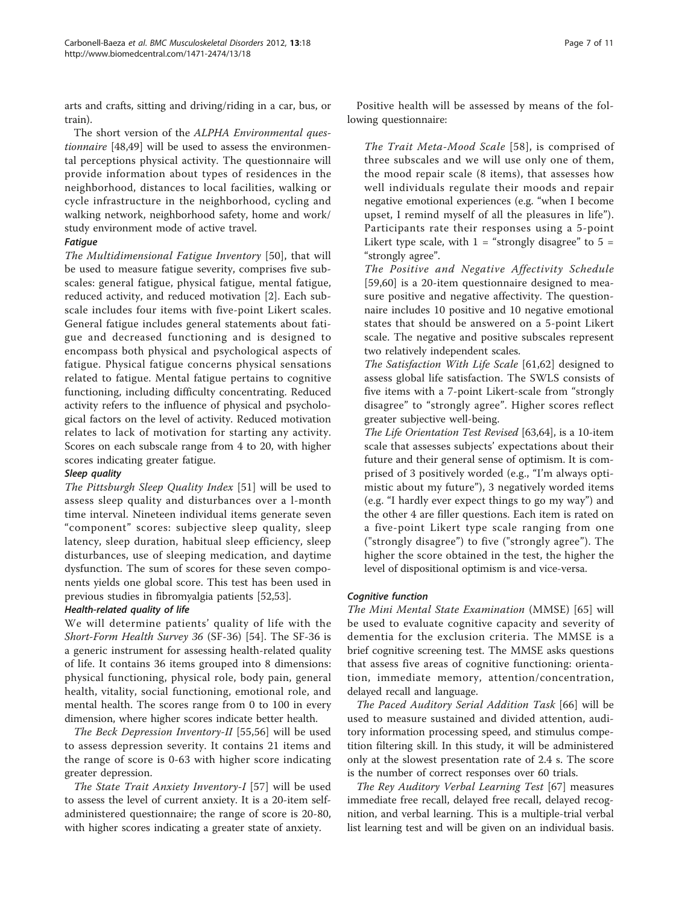arts and crafts, sitting and driving/riding in a car, bus, or train).

The short version of the ALPHA Environmental questionnaire [\[48](#page-9-0),[49](#page-9-0)] will be used to assess the environmental perceptions physical activity. The questionnaire will provide information about types of residences in the neighborhood, distances to local facilities, walking or cycle infrastructure in the neighborhood, cycling and walking network, neighborhood safety, home and work/ study environment mode of active travel.

# Fatigue

The Multidimensional Fatigue Inventory [[50](#page-9-0)], that will be used to measure fatigue severity, comprises five subscales: general fatigue, physical fatigue, mental fatigue, reduced activity, and reduced motivation [\[2](#page-8-0)]. Each subscale includes four items with five-point Likert scales. General fatigue includes general statements about fatigue and decreased functioning and is designed to encompass both physical and psychological aspects of fatigue. Physical fatigue concerns physical sensations related to fatigue. Mental fatigue pertains to cognitive functioning, including difficulty concentrating. Reduced activity refers to the influence of physical and psychological factors on the level of activity. Reduced motivation relates to lack of motivation for starting any activity. Scores on each subscale range from 4 to 20, with higher scores indicating greater fatigue.

# Sleep quality

The Pittsburgh Sleep Quality Index [\[51](#page-9-0)] will be used to assess sleep quality and disturbances over a l-month time interval. Nineteen individual items generate seven "component" scores: subjective sleep quality, sleep latency, sleep duration, habitual sleep efficiency, sleep disturbances, use of sleeping medication, and daytime dysfunction. The sum of scores for these seven components yields one global score. This test has been used in previous studies in fibromyalgia patients [[52](#page-9-0),[53](#page-9-0)].

# Health-related quality of life

We will determine patients' quality of life with the Short-Form Health Survey 36 (SF-36) [[54\]](#page-9-0). The SF-36 is a generic instrument for assessing health-related quality of life. It contains 36 items grouped into 8 dimensions: physical functioning, physical role, body pain, general health, vitality, social functioning, emotional role, and mental health. The scores range from 0 to 100 in every dimension, where higher scores indicate better health.

The Beck Depression Inventory-II [[55,](#page-9-0)[56](#page-10-0)] will be used to assess depression severity. It contains 21 items and the range of score is 0-63 with higher score indicating greater depression.

The State Trait Anxiety Inventory-I [[57\]](#page-10-0) will be used to assess the level of current anxiety. It is a 20-item selfadministered questionnaire; the range of score is 20-80, with higher scores indicating a greater state of anxiety.

Positive health will be assessed by means of the following questionnaire:

The Trait Meta-Mood Scale [[58](#page-10-0)], is comprised of three subscales and we will use only one of them, the mood repair scale (8 items), that assesses how well individuals regulate their moods and repair negative emotional experiences (e.g. "when I become upset, I remind myself of all the pleasures in life"). Participants rate their responses using a 5-point Likert type scale, with  $1 =$  "strongly disagree" to  $5 =$ "strongly agree".

The Positive and Negative Affectivity Schedule [[59,60](#page-10-0)] is a 20-item questionnaire designed to measure positive and negative affectivity. The questionnaire includes 10 positive and 10 negative emotional states that should be answered on a 5-point Likert scale. The negative and positive subscales represent two relatively independent scales.

The Satisfaction With Life Scale [\[61](#page-10-0),[62\]](#page-10-0) designed to assess global life satisfaction. The SWLS consists of five items with a 7-point Likert-scale from "strongly disagree" to "strongly agree". Higher scores reflect greater subjective well-being.

The Life Orientation Test Revised [[63,64\]](#page-10-0), is a 10-item scale that assesses subjects' expectations about their future and their general sense of optimism. It is comprised of 3 positively worded (e.g., "I'm always optimistic about my future"), 3 negatively worded items (e.g. "I hardly ever expect things to go my way") and the other 4 are filler questions. Each item is rated on a five-point Likert type scale ranging from one ("strongly disagree") to five ("strongly agree"). The higher the score obtained in the test, the higher the level of dispositional optimism is and vice-versa.

# Cognitive function

The Mini Mental State Examination (MMSE) [[65\]](#page-10-0) will be used to evaluate cognitive capacity and severity of dementia for the exclusion criteria. The MMSE is a brief cognitive screening test. The MMSE asks questions that assess five areas of cognitive functioning: orientation, immediate memory, attention/concentration, delayed recall and language.

The Paced Auditory Serial Addition Task [[66\]](#page-10-0) will be used to measure sustained and divided attention, auditory information processing speed, and stimulus competition filtering skill. In this study, it will be administered only at the slowest presentation rate of 2.4 s. The score is the number of correct responses over 60 trials.

The Rey Auditory Verbal Learning Test [[67\]](#page-10-0) measures immediate free recall, delayed free recall, delayed recognition, and verbal learning. This is a multiple-trial verbal list learning test and will be given on an individual basis.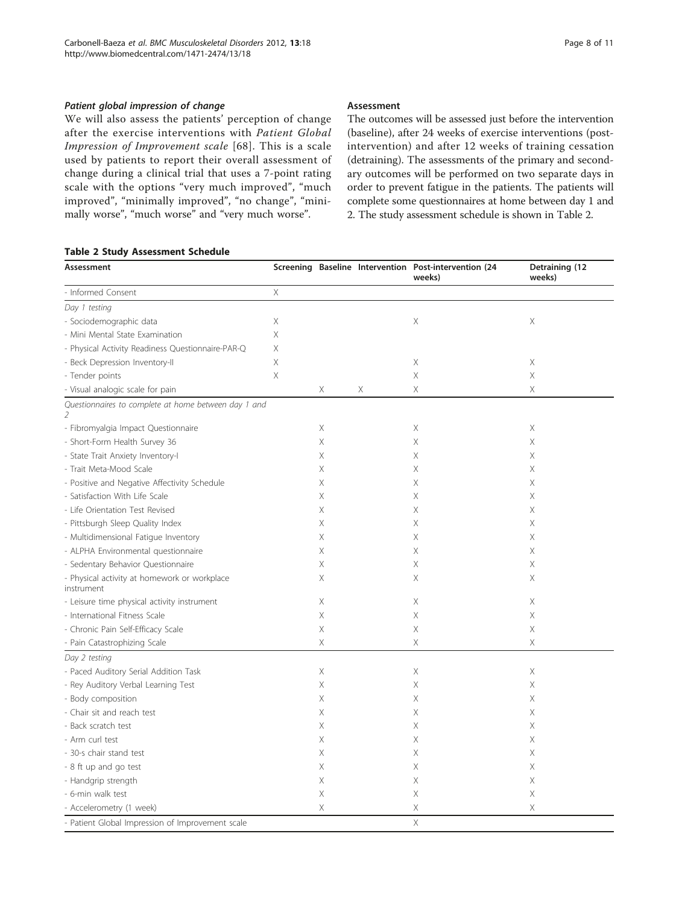# Patient global impression of change

We will also assess the patients' perception of change after the exercise interventions with Patient Global Impression of Improvement scale [[68](#page-10-0)]. This is a scale used by patients to report their overall assessment of change during a clinical trial that uses a 7-point rating scale with the options "very much improved", "much improved", "minimally improved", "no change", "minimally worse", "much worse" and "very much worse".

# Table 2 Study Assessment Schedule

# Assessment

The outcomes will be assessed just before the intervention (baseline), after 24 weeks of exercise interventions (postintervention) and after 12 weeks of training cessation (detraining). The assessments of the primary and secondary outcomes will be performed on two separate days in order to prevent fatigue in the patients. The patients will complete some questionnaires at home between day 1 and 2. The study assessment schedule is shown in Table 2.

| Assessment                                                             |   |   |   | Screening Baseline Intervention Post-intervention (24<br>weeks) | Detraining (12<br>weeks) |
|------------------------------------------------------------------------|---|---|---|-----------------------------------------------------------------|--------------------------|
| - Informed Consent                                                     | X |   |   |                                                                 |                          |
| Day 1 testing                                                          |   |   |   |                                                                 |                          |
| - Sociodemographic data                                                | Χ |   |   | Χ                                                               | Χ                        |
| - Mini Mental State Examination                                        | Χ |   |   |                                                                 |                          |
| - Physical Activity Readiness Questionnaire-PAR-Q                      | X |   |   |                                                                 |                          |
| - Beck Depression Inventory-II                                         | Χ |   |   | X                                                               | X                        |
| - Tender points                                                        | Χ |   |   | Χ                                                               | X                        |
| - Visual analogic scale for pain                                       |   | Χ | Χ | $\mathsf X$                                                     | Χ                        |
| Questionnaires to complete at home between day 1 and<br>$\overline{2}$ |   |   |   |                                                                 |                          |
| - Fibromyalgia Impact Questionnaire                                    |   | Χ |   | Χ                                                               | Χ                        |
| - Short-Form Health Survey 36                                          |   | X |   | $\times$                                                        | Χ                        |
| - State Trait Anxiety Inventory-I                                      |   | Χ |   | Χ                                                               | X                        |
| - Trait Meta-Mood Scale                                                |   | Χ |   | Χ                                                               | Χ                        |
| - Positive and Negative Affectivity Schedule                           |   | Χ |   | Χ                                                               | Χ                        |
| - Satisfaction With Life Scale                                         |   | Χ |   | Χ                                                               | Χ                        |
| - Life Orientation Test Revised                                        |   | X |   | $\times$                                                        | X                        |
| - Pittsburgh Sleep Quality Index                                       |   | Χ |   | X                                                               | X                        |
| - Multidimensional Fatigue Inventory                                   |   | Χ |   | X                                                               | X                        |
| - ALPHA Environmental questionnaire                                    |   | X |   | Χ                                                               | X                        |
| - Sedentary Behavior Questionnaire                                     |   | Χ |   | Χ                                                               | Χ                        |
| - Physical activity at homework or workplace<br>instrument             |   | Χ |   | Χ                                                               | Χ                        |
| - Leisure time physical activity instrument                            |   | Χ |   | Χ                                                               | Χ                        |
| - International Fitness Scale                                          |   | Χ |   | Χ                                                               | Χ                        |
| - Chronic Pain Self-Efficacy Scale                                     |   | Χ |   | X                                                               | X                        |
| - Pain Catastrophizing Scale                                           |   | Χ |   | X                                                               | X                        |
| Day 2 testing                                                          |   |   |   |                                                                 |                          |
| - Paced Auditory Serial Addition Task                                  |   | Χ |   | $\times$                                                        | X                        |
| - Rey Auditory Verbal Learning Test                                    |   | X |   | X                                                               | X                        |
| - Body composition                                                     |   | Χ |   | X                                                               | X                        |
| - Chair sit and reach test                                             |   | Χ |   | Χ                                                               | Χ                        |
| - Back scratch test                                                    |   | Χ |   | Χ                                                               | Χ                        |
| - Arm curl test                                                        |   | Χ |   | Χ                                                               | Χ                        |
| - 30-s chair stand test                                                |   | Χ |   | X                                                               | X                        |
| - 8 ft up and go test                                                  |   | Χ |   | Χ                                                               | X                        |
| - Handgrip strength                                                    |   | Χ |   | Χ                                                               | Χ                        |
| - 6-min walk test                                                      |   | Χ |   | Χ                                                               | Χ                        |
| - Accelerometry (1 week)                                               |   | Χ |   | Χ                                                               | Χ                        |
| - Patient Global Impression of Improvement scale                       |   |   |   | $\times$                                                        |                          |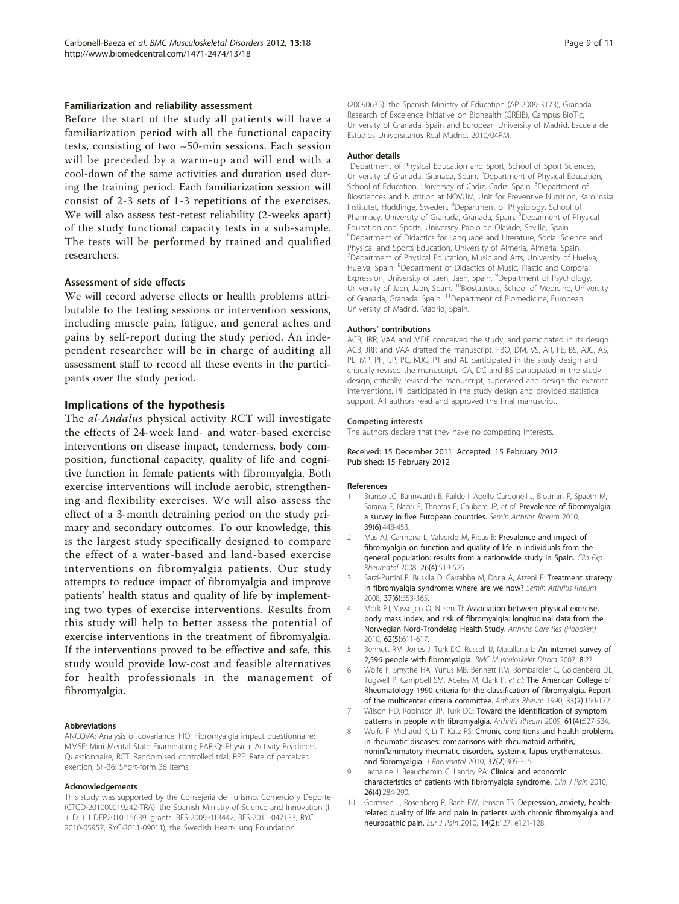# <span id="page-8-0"></span>Familiarization and reliability assessment

Before the start of the study all patients will have a familiarization period with all the functional capacity tests, consisting of two ~50-min sessions. Each session will be preceded by a warm-up and will end with a cool-down of the same activities and duration used during the training period. Each familiarization session will consist of 2-3 sets of 1-3 repetitions of the exercises. We will also assess test-retest reliability (2-weeks apart) of the study functional capacity tests in a sub-sample. The tests will be performed by trained and qualified researchers.

# Assessment of side effects

We will record adverse effects or health problems attributable to the testing sessions or intervention sessions, including muscle pain, fatigue, and general aches and pains by self-report during the study period. An independent researcher will be in charge of auditing all assessment staff to record all these events in the participants over the study period.

# Implications of the hypothesis

The al-Andalus physical activity RCT will investigate the effects of 24-week land- and water-based exercise interventions on disease impact, tenderness, body composition, functional capacity, quality of life and cognitive function in female patients with fibromyalgia. Both exercise interventions will include aerobic, strengthening and flexibility exercises. We will also assess the effect of a 3-month detraining period on the study primary and secondary outcomes. To our knowledge, this is the largest study specifically designed to compare the effect of a water-based and land-based exercise interventions on fibromyalgia patients. Our study attempts to reduce impact of fibromyalgia and improve patients' health status and quality of life by implementing two types of exercise interventions. Results from this study will help to better assess the potential of exercise interventions in the treatment of fibromyalgia. If the interventions proved to be effective and safe, this study would provide low-cost and feasible alternatives for health professionals in the management of fibromyalgia.

#### Abbreviations

ANCOVA: Analysis of covariance; FIQ: Fibromyalgia impact questionnaire; MMSE: Mini Mental State Examination; PAR-Q: Physical Activity Readiness Questionnaire; RCT: Randomised controlled trial; RPE: Rate of perceived exertion; SF-36: Short-form 36 items.

#### Acknowledgements

This study was supported by the Consejeria de Turismo, Comercio y Deporte (CTCD-201000019242-TRA), the Spanish Ministry of Science and Innovation (I + D + I DEP2010-15639, grants: BES-2009-013442, BES-2011-047133, RYC-2010-05957, RYC-2011-09011), the Swedish Heart-Lung Foundation

(20090635), the Spanish Ministry of Education (AP-2009-3173), Granada Research of Excelence Initiative on Biohealth (GREIB), Campus BioTic, University of Granada, Spain and European University of Madrid. Escuela de Estudios Universitarios Real Madrid. 2010/04RM.

#### Author details

<sup>1</sup>Department of Physical Education and Sport, School of Sport Sciences, University of Granada, Granada, Spain. <sup>2</sup> Department of Physical Education, School of Education, University of Cadiz, Cadiz, Spain. <sup>3</sup>Department of Biosciences and Nutrition at NOVUM, Unit for Preventive Nutrition, Karolinska Institutet, Huddinge, Sweden. <sup>4</sup> Department of Physiology, School of Pharmacy, University of Granada, Granada, Spain. <sup>5</sup>Deparment of Physical Education and Sports, University Pablo de Olavide, Seville, Spain. 6 Department of Didactics for Language and Literature, Social Science and Physical and Sports Education, University of Almeria, Almeria, Spain. <sup>7</sup> Department of Physical Education, Music and Arts, University of Huelva, Huelva, Spain. <sup>8</sup>Department of Didactics of Music, Plastic and Corporal Expression, University of Jaen, Jaen, Spain. <sup>9</sup>Department of Psychology, University of Jaen, Jaen, Spain. <sup>10</sup>Biostatistics, School of Medicine, University of Granada, Granada, Spain. 11Department of Biomedicine, European University of Madrid, Madrid, Spain.

#### Authors' contributions

ACB, JRR, VAA and MDF conceived the study, and participated in its design. ACB, JRR and VAA drafted the manuscript. FBO, DM, VS, AR, FE, BS, AJC, AS, PL, MP, PF, IJP, PC, MJG, PT and AL participated in the study design and critically revised the manuscript. ICA, DC and BS participated in the study design, critically revised the manuscript, supervised and design the exercise interventions. PF participated in the study design and provided statistical support. All authors read and approved the final manuscript.

#### Competing interests

The authors declare that they have no competing interests.

#### Received: 15 December 2011 Accepted: 15 February 2012 Published: 15 February 2012

#### References

- Branco JC, Bannwarth B, Failde I, Abello Carbonell J, Blotman F, Spaeth M, Saraiva F, Nacci F, Thomas E, Caubere JP, et al: Prevalence of fibromvalgia: [a survey in five European countries.](http://www.ncbi.nlm.nih.gov/pubmed/19250656?dopt=Abstract) Semin Arthritis Rheum 2010, 39(6):448-453.
- 2. Mas AJ, Carmona L, Valverde M, Ribas B: [Prevalence and impact of](http://www.ncbi.nlm.nih.gov/pubmed/18799079?dopt=Abstract) [fibromyalgia on function and quality of life in individuals from the](http://www.ncbi.nlm.nih.gov/pubmed/18799079?dopt=Abstract) [general population: results from a nationwide study in Spain.](http://www.ncbi.nlm.nih.gov/pubmed/18799079?dopt=Abstract) Clin Exp Rheumatol 2008, 26(4):519-526.
- Sarzi-Puttini P, Buskila D, Carrabba M, Doria A, Atzeni F: [Treatment strategy](http://www.ncbi.nlm.nih.gov/pubmed/17976693?dopt=Abstract) [in fibromyalgia syndrome: where are we now?](http://www.ncbi.nlm.nih.gov/pubmed/17976693?dopt=Abstract) Semin Arthritis Rheum 2008, 37(6):353-365.
- 4. Mork PJ, Vasseljen O, Nilsen TI: Association between physical exercise, body mass index, and risk of fibromyalgia: longitudinal data from the Norwegian Nord-Trondelag Health Study. Arthritis Care Res (Hoboken) 2010, 62(5):611-617.
- 5. Bennett RM, Jones J, Turk DC, Russell IJ, Matallana L: [An internet survey of](http://www.ncbi.nlm.nih.gov/pubmed/17349056?dopt=Abstract) [2,596 people with fibromyalgia.](http://www.ncbi.nlm.nih.gov/pubmed/17349056?dopt=Abstract) BMC Musculoskelet Disord 2007, 8:27.
- 6. Wolfe F, Smythe HA, Yunus MB, Bennett RM, Bombardier C, Goldenberg DL, Tugwell P, Campbell SM, Abeles M, Clark P, et al: [The American College of](http://www.ncbi.nlm.nih.gov/pubmed/2306288?dopt=Abstract) [Rheumatology 1990 criteria for the classification of fibromyalgia. Report](http://www.ncbi.nlm.nih.gov/pubmed/2306288?dopt=Abstract) [of the multicenter criteria committee.](http://www.ncbi.nlm.nih.gov/pubmed/2306288?dopt=Abstract) Arthritis Rheum 1990, 33(2):160-172.
- 7. Wilson HD, Robinson JP, Turk DC: [Toward the identification of symptom](http://www.ncbi.nlm.nih.gov/pubmed/19333980?dopt=Abstract) [patterns in people with fibromyalgia.](http://www.ncbi.nlm.nih.gov/pubmed/19333980?dopt=Abstract) Arthritis Rheum 2009, 61(4):527-534.
- 8. Wolfe F, Michaud K, Li T, Katz RS: [Chronic conditions and health problems](http://www.ncbi.nlm.nih.gov/pubmed/20080915?dopt=Abstract) [in rheumatic diseases: comparisons with rheumatoid arthritis,](http://www.ncbi.nlm.nih.gov/pubmed/20080915?dopt=Abstract) [noninflammatory rheumatic disorders, systemic lupus erythematosus,](http://www.ncbi.nlm.nih.gov/pubmed/20080915?dopt=Abstract) [and fibromyalgia.](http://www.ncbi.nlm.nih.gov/pubmed/20080915?dopt=Abstract) J Rheumatol 2010, 37(2):305-315.
- 9. Lachaine J, Beauchemin C, Landry PA: [Clinical and economic](http://www.ncbi.nlm.nih.gov/pubmed/20393262?dopt=Abstract) [characteristics of patients with fibromyalgia syndrome.](http://www.ncbi.nlm.nih.gov/pubmed/20393262?dopt=Abstract) Clin J Pain 2010, 26(4):284-290.
- 10. Gormsen L, Rosenberg R, Bach FW, Jensen TS: [Depression, anxiety, health](http://www.ncbi.nlm.nih.gov/pubmed/19473857?dopt=Abstract)[related quality of life and pain in patients with chronic fibromyalgia and](http://www.ncbi.nlm.nih.gov/pubmed/19473857?dopt=Abstract) [neuropathic pain.](http://www.ncbi.nlm.nih.gov/pubmed/19473857?dopt=Abstract) Eur J Pain 2010, 14(2):127, e121-128.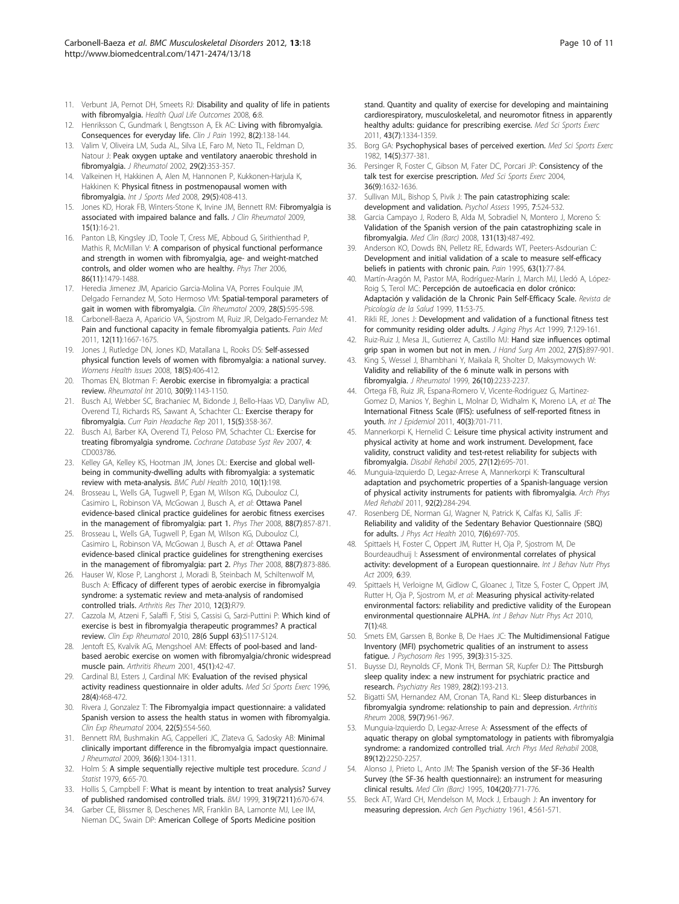- <span id="page-9-0"></span>11. Verbunt JA, Pernot DH, Smeets RJ: [Disability and quality of life in patients](http://www.ncbi.nlm.nih.gov/pubmed/18211701?dopt=Abstract) [with fibromyalgia.](http://www.ncbi.nlm.nih.gov/pubmed/18211701?dopt=Abstract) Health Qual Life Outcomes 2008, 6:8.
- 12. Henriksson C, Gundmark I, Bengtsson A, Ek AC: [Living with fibromyalgia.](http://www.ncbi.nlm.nih.gov/pubmed/1633377?dopt=Abstract) [Consequences for everyday life.](http://www.ncbi.nlm.nih.gov/pubmed/1633377?dopt=Abstract) Clin J Pain 1992, 8(2):138-144.
- 13. Valim V, Oliveira LM, Suda AL, Silva LE, Faro M, Neto TL, Feldman D Natour J: [Peak oxygen uptake and ventilatory anaerobic threshold in](http://www.ncbi.nlm.nih.gov/pubmed/11842825?dopt=Abstract) [fibromyalgia.](http://www.ncbi.nlm.nih.gov/pubmed/11842825?dopt=Abstract) J Rheumatol 2002, 29(2):353-357.
- 14. Valkeinen H, Hakkinen A, Alen M, Hannonen P, Kukkonen-Harjula K, Hakkinen K: [Physical fitness in postmenopausal women with](http://www.ncbi.nlm.nih.gov/pubmed/17960505?dopt=Abstract) [fibromyalgia.](http://www.ncbi.nlm.nih.gov/pubmed/17960505?dopt=Abstract) Int J Sports Med 2008, 29(5):408-413.
- 15. Jones KD, Horak FB, Winters-Stone K, Irvine JM, Bennett RM: [Fibromyalgia is](http://www.ncbi.nlm.nih.gov/pubmed/19125137?dopt=Abstract) [associated with impaired balance and falls.](http://www.ncbi.nlm.nih.gov/pubmed/19125137?dopt=Abstract) J Clin Rheumatol 2009, 15(1):16-21.
- 16. Panton LB, Kingsley JD, Toole T, Cress ME, Abboud G, Sirithienthad P, Mathis R, McMillan V: [A comparison of physical functional performance](http://www.ncbi.nlm.nih.gov/pubmed/17079747?dopt=Abstract) [and strength in women with fibromyalgia, age- and weight-matched](http://www.ncbi.nlm.nih.gov/pubmed/17079747?dopt=Abstract) [controls, and older women who are healthy.](http://www.ncbi.nlm.nih.gov/pubmed/17079747?dopt=Abstract) Phys Ther 2006, 86(11):1479-1488.
- 17. Heredia Jimenez JM, Aparicio Garcia-Molina VA, Porres Foulquie JM, Delgado Fernandez M, Soto Hermoso VM: [Spatial-temporal parameters of](http://www.ncbi.nlm.nih.gov/pubmed/19169619?dopt=Abstract) [gait in women with fibromyalgia.](http://www.ncbi.nlm.nih.gov/pubmed/19169619?dopt=Abstract) Clin Rheumatol 2009, 28(5):595-598.
- Carbonell-Baeza A, Aparicio VA, Sjostrom M, Ruiz JR, Delgado-Fernandez M: [Pain and functional capacity in female fibromyalgia patients.](http://www.ncbi.nlm.nih.gov/pubmed/21939495?dopt=Abstract) Pain Med 2011, 12(11):1667-1675.
- 19. Jones J, Rutledge DN, Jones KD, Matallana L, Rooks DS: [Self-assessed](http://www.ncbi.nlm.nih.gov/pubmed/18723374?dopt=Abstract) [physical function levels of women with fibromyalgia: a national survey.](http://www.ncbi.nlm.nih.gov/pubmed/18723374?dopt=Abstract) Womens Health Issues 2008, 18(5):406-412.
- 20. Thomas EN, Blotman F: [Aerobic exercise in fibromyalgia: a practical](http://www.ncbi.nlm.nih.gov/pubmed/20340025?dopt=Abstract) [review.](http://www.ncbi.nlm.nih.gov/pubmed/20340025?dopt=Abstract) Rheumatol Int 2010, 30(9):1143-1150.
- 21. Busch AJ, Webber SC, Brachaniec M, Bidonde J, Bello-Haas VD, Danyliw AD, Overend TJ, Richards RS, Sawant A, Schachter CL: [Exercise therapy for](http://www.ncbi.nlm.nih.gov/pubmed/21725900?dopt=Abstract) [fibromyalgia.](http://www.ncbi.nlm.nih.gov/pubmed/21725900?dopt=Abstract) Curr Pain Headache Rep 2011, 15(5):358-367.
- 22. Busch AJ, Barber KA, Overend TJ, Peloso PM, Schachter CL: [Exercise for](http://www.ncbi.nlm.nih.gov/pubmed/17943797?dopt=Abstract) [treating fibromyalgia syndrome.](http://www.ncbi.nlm.nih.gov/pubmed/17943797?dopt=Abstract) Cochrane Database Syst Rev 2007, 4: CD003786.
- 23. Kelley GA, Kelley KS, Hootman JM, Jones DL: Exercise and global wellbeing in community-dwelling adults with fibromyalgia: a systematic review with meta-analysis. BMC Publ Health 2010, 10(1):198.
- 24. Brosseau L, Wells GA, Tugwell P, Egan M, Wilson KG, Dubouloz CJ, Casimiro L, Robinson VA, McGowan J, Busch A, et al: [Ottawa Panel](http://www.ncbi.nlm.nih.gov/pubmed/18497301?dopt=Abstract) [evidence-based clinical practice guidelines for aerobic fitness exercises](http://www.ncbi.nlm.nih.gov/pubmed/18497301?dopt=Abstract) in [the management of fibromyalgia: part 1.](http://www.ncbi.nlm.nih.gov/pubmed/18497301?dopt=Abstract) Phys Ther 2008, 88(7):857-871.
- 25. Brosseau L, Wells GA, Tugwell P, Egan M, Wilson KG, Dubouloz CJ, Casimiro L, Robinson VA, McGowan J, Busch A, et al: [Ottawa Panel](http://www.ncbi.nlm.nih.gov/pubmed/18497302?dopt=Abstract) [evidence-based clinical practice guidelines for strengthening exercises](http://www.ncbi.nlm.nih.gov/pubmed/18497302?dopt=Abstract) [in the management of fibromyalgia: part 2.](http://www.ncbi.nlm.nih.gov/pubmed/18497302?dopt=Abstract) Phys Ther 2008, 88(7):873-886.
- 26. Hauser W, Klose P, Langhorst J, Moradi B, Steinbach M, Schiltenwolf M, Busch A: [Efficacy of different types of aerobic exercise in fibromyalgia](http://www.ncbi.nlm.nih.gov/pubmed/20459730?dopt=Abstract) [syndrome: a systematic review and meta-analysis of randomised](http://www.ncbi.nlm.nih.gov/pubmed/20459730?dopt=Abstract) [controlled trials.](http://www.ncbi.nlm.nih.gov/pubmed/20459730?dopt=Abstract) Arthritis Res Ther 2010, 12(3):R79.
- 27. Cazzola M, Atzeni F, Salaffi F, Stisi S, Cassisi G, Sarzi-Puttini P: [Which kind of](http://www.ncbi.nlm.nih.gov/pubmed/21176431?dopt=Abstract) [exercise is best in fibromyalgia therapeutic programmes? A practical](http://www.ncbi.nlm.nih.gov/pubmed/21176431?dopt=Abstract) [review.](http://www.ncbi.nlm.nih.gov/pubmed/21176431?dopt=Abstract) Clin Exp Rheumatol 2010, 28(6 Suppl 63):S117-S124.
- 28. Jentoft ES, Kvalvik AG, Mengshoel AM: [Effects of pool-based and land](http://www.ncbi.nlm.nih.gov/pubmed/11308060?dopt=Abstract)[based aerobic exercise on women with fibromyalgia/chronic widespread](http://www.ncbi.nlm.nih.gov/pubmed/11308060?dopt=Abstract) [muscle pain.](http://www.ncbi.nlm.nih.gov/pubmed/11308060?dopt=Abstract) Arthritis Rheum 2001, 45(1):42-47.
- 29. Cardinal BJ, Esters J, Cardinal MK: [Evaluation of the revised physical](http://www.ncbi.nlm.nih.gov/pubmed/8778552?dopt=Abstract) [activity readiness questionnaire in older adults.](http://www.ncbi.nlm.nih.gov/pubmed/8778552?dopt=Abstract) Med Sci Sports Exerc 1996, 28(4):468-472.
- 30. Rivera J, Gonzalez T: [The Fibromyalgia impact questionnaire: a validated](http://www.ncbi.nlm.nih.gov/pubmed/15485007?dopt=Abstract) [Spanish version to assess the health status in women with fibromyalgia.](http://www.ncbi.nlm.nih.gov/pubmed/15485007?dopt=Abstract) Clin Exp Rheumatol 2004, 22(5):554-560.
- 31. Bennett RM, Bushmakin AG, Cappelleri JC, Zlateva G, Sadosky AB: [Minimal](http://www.ncbi.nlm.nih.gov/pubmed/19369473?dopt=Abstract) [clinically important difference in the fibromyalgia impact questionnaire.](http://www.ncbi.nlm.nih.gov/pubmed/19369473?dopt=Abstract) J Rheumatol 2009, 36(6):1304-1311.
- 32. Holm S: A simple sequentially rejective multiple test procedure. Scand J Statist 1979, 6:65-70.
- Hollis S, Campbell F: [What is meant by intention to treat analysis? Survey](http://www.ncbi.nlm.nih.gov/pubmed/10480822?dopt=Abstract) [of published randomised controlled trials.](http://www.ncbi.nlm.nih.gov/pubmed/10480822?dopt=Abstract) BMJ 1999, 319(7211):670-674.
- 34. Garber CE, Blissmer B, Deschenes MR, Franklin BA, Lamonte MJ, Lee IM, Nieman DC, Swain DP: [American College of Sports Medicine position](http://www.ncbi.nlm.nih.gov/pubmed/21694556?dopt=Abstract)

[stand. Quantity and quality of exercise for developing and maintaining](http://www.ncbi.nlm.nih.gov/pubmed/21694556?dopt=Abstract) [cardiorespiratory, musculoskeletal, and neuromotor fitness in apparently](http://www.ncbi.nlm.nih.gov/pubmed/21694556?dopt=Abstract) [healthy adults: guidance for prescribing exercise.](http://www.ncbi.nlm.nih.gov/pubmed/21694556?dopt=Abstract) Med Sci Sports Exerc 2011, 43(7):1334-1359.

- 35. Borg GA: [Psychophysical bases of perceived exertion.](http://www.ncbi.nlm.nih.gov/pubmed/7154893?dopt=Abstract) Med Sci Sports Exerc 1982, 14(5):377-381.
- 36. Persinger R, Foster C, Gibson M, Fater DC, Porcari JP: [Consistency of the](http://www.ncbi.nlm.nih.gov/pubmed/15354048?dopt=Abstract) [talk test for exercise prescription.](http://www.ncbi.nlm.nih.gov/pubmed/15354048?dopt=Abstract) Med Sci Sports Exerc 2004, 36(9):1632-1636.
- 37. Sullivan MJL, Bishop S, Pivik J: The pain catastrophizing scale: development and validation. Psychol Assess 1995, 7:524-532.
- 38. Garcia Campayo J, Rodero B, Alda M, Sobradiel N, Montero J, Moreno S: Validation of the Spanish version of the pain catastrophizing scale in fibromyalgia. Med Clin (Barc) 2008, 131(13):487-492.
- 39. Anderson KO, Dowds BN, Pelletz RE, Edwards WT, Peeters-Asdourian C: [Development and initial validation of a scale to measure self-efficacy](http://www.ncbi.nlm.nih.gov/pubmed/8577493?dopt=Abstract) [beliefs in patients with chronic pain.](http://www.ncbi.nlm.nih.gov/pubmed/8577493?dopt=Abstract) Pain 1995, 63(1):77-84.
- 40. Martín-Aragón M, Pastor MA, Rodríguez-Marín J, March MJ, Lledó A, López-Roig S, Terol MC: Percepción de autoeficacia en dolor crónico: Adaptación y validación de la Chronic Pain Self-Efficacy Scale. Revista de Psicología de la Salud 1999, 11:53-75.
- 41. Rikli RE, Jones J: Development and validation of a functional fitness test for community residing older adults. J Aging Phys Act 1999, 7:129-161.
- 42. Ruiz-Ruiz J, Mesa JL, Gutierrez A, Castillo MJ: [Hand size influences optimal](http://www.ncbi.nlm.nih.gov/pubmed/12239682?dopt=Abstract) [grip span in women but not in men.](http://www.ncbi.nlm.nih.gov/pubmed/12239682?dopt=Abstract) J Hand Surg Am 2002, 27(5):897-901.
- 43. King S, Wessel J, Bhambhani Y, Maikala R, Sholter D, Maksymowych W: [Validity and reliability of the 6 minute walk in persons with](http://www.ncbi.nlm.nih.gov/pubmed/10529146?dopt=Abstract) [fibromyalgia.](http://www.ncbi.nlm.nih.gov/pubmed/10529146?dopt=Abstract) J Rheumatol 1999, 26(10):2233-2237.
- 44. Ortega FB, Ruiz JR, Espana-Romero V, Vicente-Rodriguez G, Martinez-Gomez D, Manios Y, Beghin L, Molnar D, Widhalm K, Moreno LA, et al: [The](http://www.ncbi.nlm.nih.gov/pubmed/21441238?dopt=Abstract) [International Fitness Scale \(IFIS\): usefulness of self-reported fitness in](http://www.ncbi.nlm.nih.gov/pubmed/21441238?dopt=Abstract) [youth.](http://www.ncbi.nlm.nih.gov/pubmed/21441238?dopt=Abstract) Int J Epidemiol 2011, 40(3):701-711.
- 45. Mannerkorpi K, Hernelid C: [Leisure time physical activity instrument and](http://www.ncbi.nlm.nih.gov/pubmed/16012062?dopt=Abstract) [physical activity at home and work instrument. Development, face](http://www.ncbi.nlm.nih.gov/pubmed/16012062?dopt=Abstract) [validity, construct validity and test-retest reliability for subjects with](http://www.ncbi.nlm.nih.gov/pubmed/16012062?dopt=Abstract) [fibromyalgia.](http://www.ncbi.nlm.nih.gov/pubmed/16012062?dopt=Abstract) Disabil Rehabil 2005, 27(12):695-701.
- 46. Munguia-Izquierdo D, Legaz-Arrese A, Mannerkorpi K: [Transcultural](http://www.ncbi.nlm.nih.gov/pubmed/21272726?dopt=Abstract) [adaptation and psychometric properties of a Spanish-language version](http://www.ncbi.nlm.nih.gov/pubmed/21272726?dopt=Abstract) [of physical activity instruments for patients with fibromyalgia.](http://www.ncbi.nlm.nih.gov/pubmed/21272726?dopt=Abstract) Arch Phys Med Rehabil 2011, 92(2):284-294.
- 47. Rosenberg DE, Norman GJ, Wagner N, Patrick K, Calfas KJ, Sallis JF: [Reliability and validity of the Sedentary Behavior Questionnaire \(SBQ\)](http://www.ncbi.nlm.nih.gov/pubmed/21088299?dopt=Abstract) [for adults.](http://www.ncbi.nlm.nih.gov/pubmed/21088299?dopt=Abstract) J Phys Act Health 2010, 7(6):697-705.
- 48. Spittaels H, Foster C, Oppert JM, Rutter H, Oja P, Sjostrom M, De Bourdeaudhuij I: [Assessment of environmental correlates of physical](http://www.ncbi.nlm.nih.gov/pubmed/19580645?dopt=Abstract) [activity: development of a European questionnaire.](http://www.ncbi.nlm.nih.gov/pubmed/19580645?dopt=Abstract) Int J Behav Nutr Phys Act 2009, 6:39.
- 49. Spittaels H, Verloigne M, Gidlow C, Gloanec J, Titze S, Foster C, Oppert JM, Rutter H, Oja P, Sjostrom M, et al: [Measuring physical activity-related](http://www.ncbi.nlm.nih.gov/pubmed/20504339?dopt=Abstract) [environmental factors: reliability and predictive validity of the European](http://www.ncbi.nlm.nih.gov/pubmed/20504339?dopt=Abstract) [environmental questionnaire ALPHA.](http://www.ncbi.nlm.nih.gov/pubmed/20504339?dopt=Abstract) Int J Behav Nutr Phys Act 2010, 7(1):48.
- 50. Smets EM, Garssen B, Bonke B, De Haes JC: [The Multidimensional Fatigue](http://www.ncbi.nlm.nih.gov/pubmed/7636775?dopt=Abstract) [Inventory \(MFI\) psychometric qualities of an instrument to assess](http://www.ncbi.nlm.nih.gov/pubmed/7636775?dopt=Abstract) [fatigue.](http://www.ncbi.nlm.nih.gov/pubmed/7636775?dopt=Abstract) J Psychosom Res 1995, 39(3):315-325.
- 51. Buysse DJ, Reynolds CF, Monk TH, Berman SR, Kupfer DJ: The [Pittsburgh](http://www.ncbi.nlm.nih.gov/pubmed/2748771?dopt=Abstract) [sleep quality index: a new instrument for psychiatric practice and](http://www.ncbi.nlm.nih.gov/pubmed/2748771?dopt=Abstract) [research.](http://www.ncbi.nlm.nih.gov/pubmed/2748771?dopt=Abstract) Psychiatry Res 1989, 28(2):193-213.
- 52. Bigatti SM, Hernandez AM, Cronan TA, Rand KL: [Sleep disturbances in](http://www.ncbi.nlm.nih.gov/pubmed/18576297?dopt=Abstract) [fibromyalgia syndrome: relationship to pain and depression.](http://www.ncbi.nlm.nih.gov/pubmed/18576297?dopt=Abstract) Arthritis Rheum 2008, 59(7):961-967.
- 53. Munguia-Izquierdo D, Legaz-Arrese A: [Assessment of the effects of](http://www.ncbi.nlm.nih.gov/pubmed/19061736?dopt=Abstract) [aquatic therapy on global symptomatology in patients with fibromyalgia](http://www.ncbi.nlm.nih.gov/pubmed/19061736?dopt=Abstract) [syndrome: a randomized controlled trial.](http://www.ncbi.nlm.nih.gov/pubmed/19061736?dopt=Abstract) Arch Phys Med Rehabil 2008, 89(12):2250-2257.
- 54. Alonso J, Prieto L, Anto JM: The Spanish version of the SF-36 Health Survey (the SF-36 health questionnaire): an instrument for measuring clinical results. Med Clin (Barc) 1995, 104(20):771-776.
- 55. Beck AT, Ward CH, Mendelson M, Mock J, Erbaugh J: [An inventory for](http://www.ncbi.nlm.nih.gov/pubmed/13688369?dopt=Abstract) [measuring depression.](http://www.ncbi.nlm.nih.gov/pubmed/13688369?dopt=Abstract) Arch Gen Psychiatry 1961, 4:561-571.